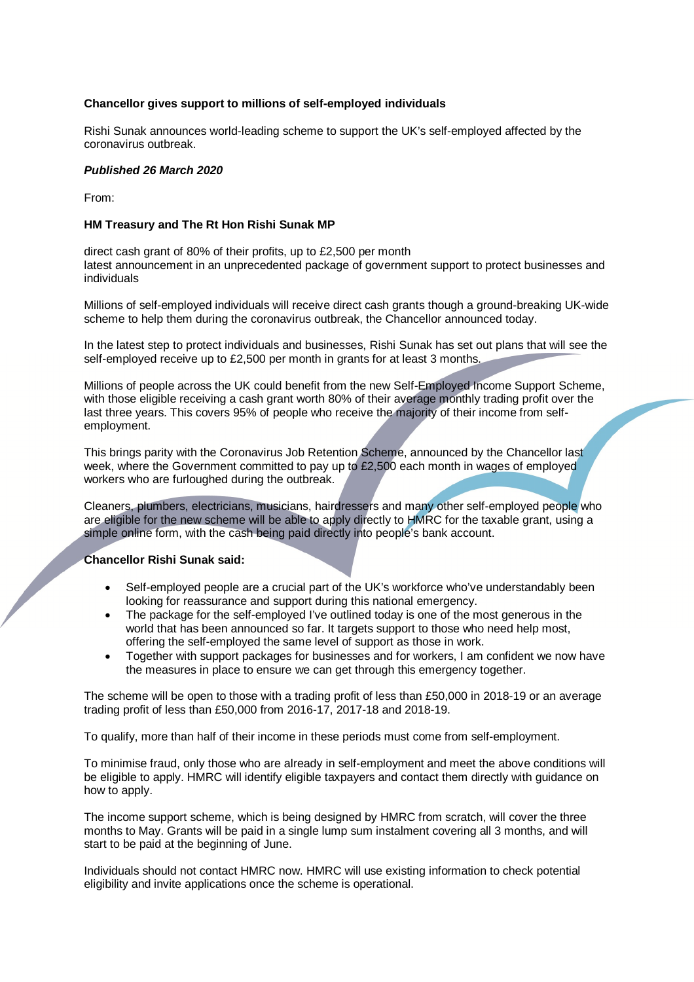### **Chancellor gives support to millions of self-employed individuals**

Rishi Sunak announces world-leading scheme to support the UK's self-employed affected by the coronavirus outbreak.

### *Published 26 March 2020*

From:

### **HM Treasury and The Rt Hon Rishi Sunak MP**

direct cash grant of 80% of their profits, up to £2,500 per month latest announcement in an unprecedented package of government support to protect businesses and individuals

Millions of self-employed individuals will receive direct cash grants though a ground-breaking UK-wide scheme to help them during the coronavirus outbreak, the Chancellor announced today.

In the latest step to protect individuals and businesses, Rishi Sunak has set out plans that will see the self-employed receive up to £2,500 per month in grants for at least 3 months.

Millions of people across the UK could benefit from the new Self-Employed Income Support Scheme, with those eligible receiving a cash grant worth 80% of their average monthly trading profit over the last three years. This covers 95% of people who receive the majority of their income from selfemployment.

This brings parity with the Coronavirus Job Retention Scheme, announced by the Chancellor last week, where the Government committed to pay up to £2,500 each month in wages of employed workers who are furloughed during the outbreak.

Cleaners, plumbers, electricians, musicians, hairdressers and many other self-employed people who are eligible for the new scheme will be able to apply directly to HMRC for the taxable grant, using a simple online form, with the cash being paid directly into people's bank account.

#### **Chancellor Rishi Sunak said:**

- Self-employed people are a crucial part of the UK's workforce who've understandably been looking for reassurance and support during this national emergency.
- The package for the self-employed I've outlined today is one of the most generous in the world that has been announced so far. It targets support to those who need help most, offering the self-employed the same level of support as those in work.
- Together with support packages for businesses and for workers, I am confident we now have the measures in place to ensure we can get through this emergency together.

The scheme will be open to those with a trading profit of less than £50,000 in 2018-19 or an average trading profit of less than £50,000 from 2016-17, 2017-18 and 2018-19.

To qualify, more than half of their income in these periods must come from self-employment.

To minimise fraud, only those who are already in self-employment and meet the above conditions will be eligible to apply. HMRC will identify eligible taxpayers and contact them directly with guidance on how to apply.

The income support scheme, which is being designed by HMRC from scratch, will cover the three months to May. Grants will be paid in a single lump sum instalment covering all 3 months, and will start to be paid at the beginning of June.

Individuals should not contact HMRC now. HMRC will use existing information to check potential eligibility and invite applications once the scheme is operational.